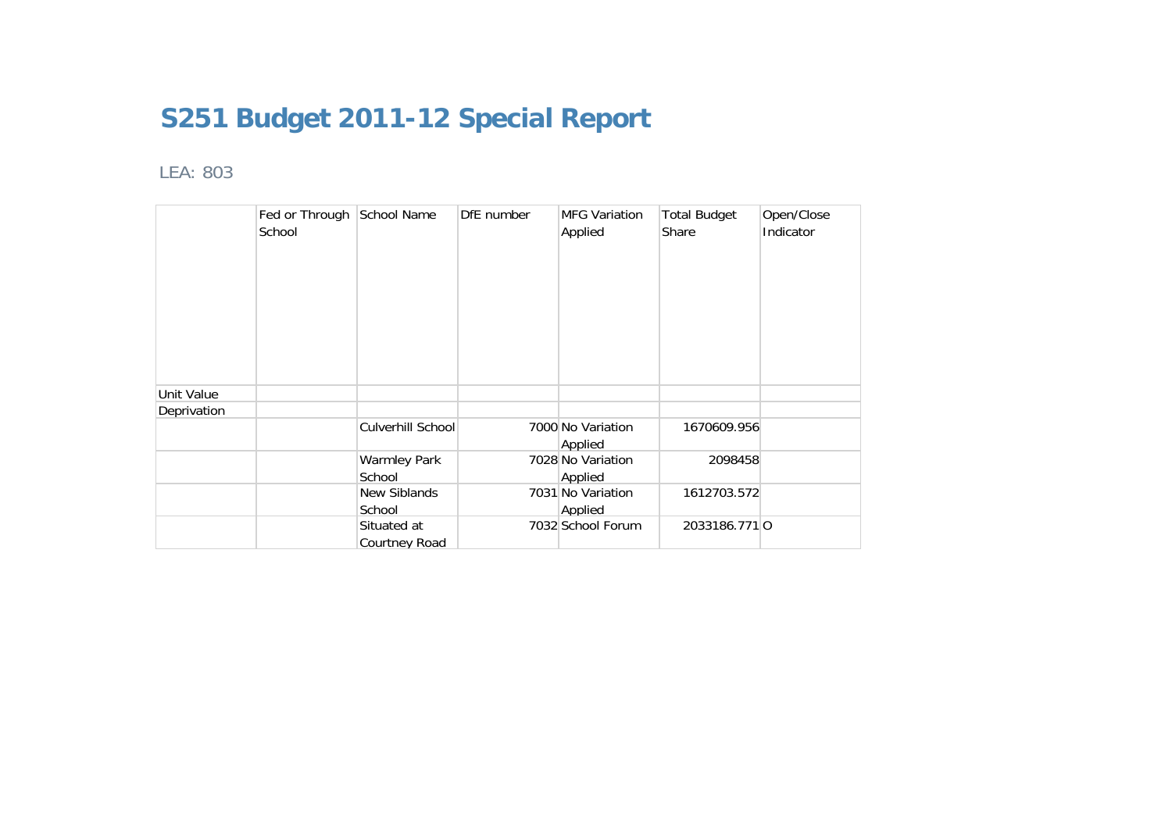## **S251 Budget 2011-12 Special Report**

## LEA: 803

|             | Fed or Through School Name<br>School |                               | DfE number | <b>MFG Variation</b><br>Applied | <b>Total Budget</b><br>Share | Open/Close<br>Indicator |
|-------------|--------------------------------------|-------------------------------|------------|---------------------------------|------------------------------|-------------------------|
| Unit Value  |                                      |                               |            |                                 |                              |                         |
| Deprivation |                                      |                               |            |                                 |                              |                         |
|             |                                      | Culverhill School             |            | 7000 No Variation<br>Applied    | 1670609.956                  |                         |
|             |                                      | <b>Warmley Park</b><br>School |            | 7028 No Variation<br>Applied    | 2098458                      |                         |
|             |                                      | New Siblands<br>School        |            | 7031 No Variation<br>Applied    | 1612703.572                  |                         |
|             |                                      | Situated at<br>Courtney Road  |            | 7032 School Forum               | 2033186.7710                 |                         |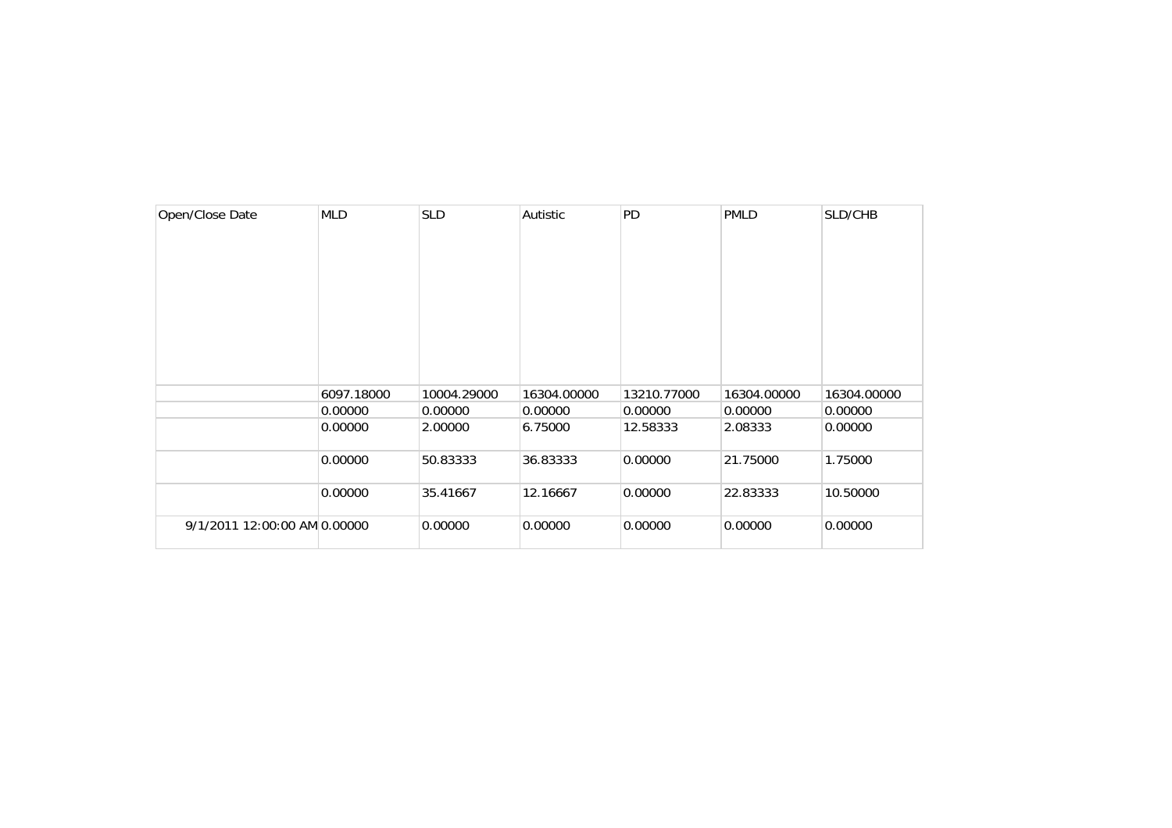| Open/Close Date              | <b>MLD</b> | <b>SLD</b>  | Autistic    | PD          | <b>PMLD</b> | SLD/CHB     |
|------------------------------|------------|-------------|-------------|-------------|-------------|-------------|
|                              |            |             |             |             |             |             |
|                              |            |             |             |             |             |             |
|                              |            |             |             |             |             |             |
|                              |            |             |             |             |             |             |
|                              |            |             |             |             |             |             |
|                              | 6097.18000 | 10004.29000 | 16304.00000 | 13210.77000 | 16304.00000 | 16304.00000 |
|                              | 0.00000    | 0.00000     | 0.00000     | 0.00000     | 0.00000     | 0.00000     |
|                              | 0.00000    | 2.00000     | 6.75000     | 12.58333    | 2.08333     | 0.00000     |
|                              | 0.00000    | 50.83333    | 36.83333    | 0.00000     | 21.75000    | 1.75000     |
|                              | 0.00000    | 35.41667    | 12.16667    | 0.00000     | 22.83333    | 10.50000    |
| 9/1/2011 12:00:00 AM 0.00000 |            | 0.00000     | 0.00000     | 0.00000     | 0.00000     | 0.00000     |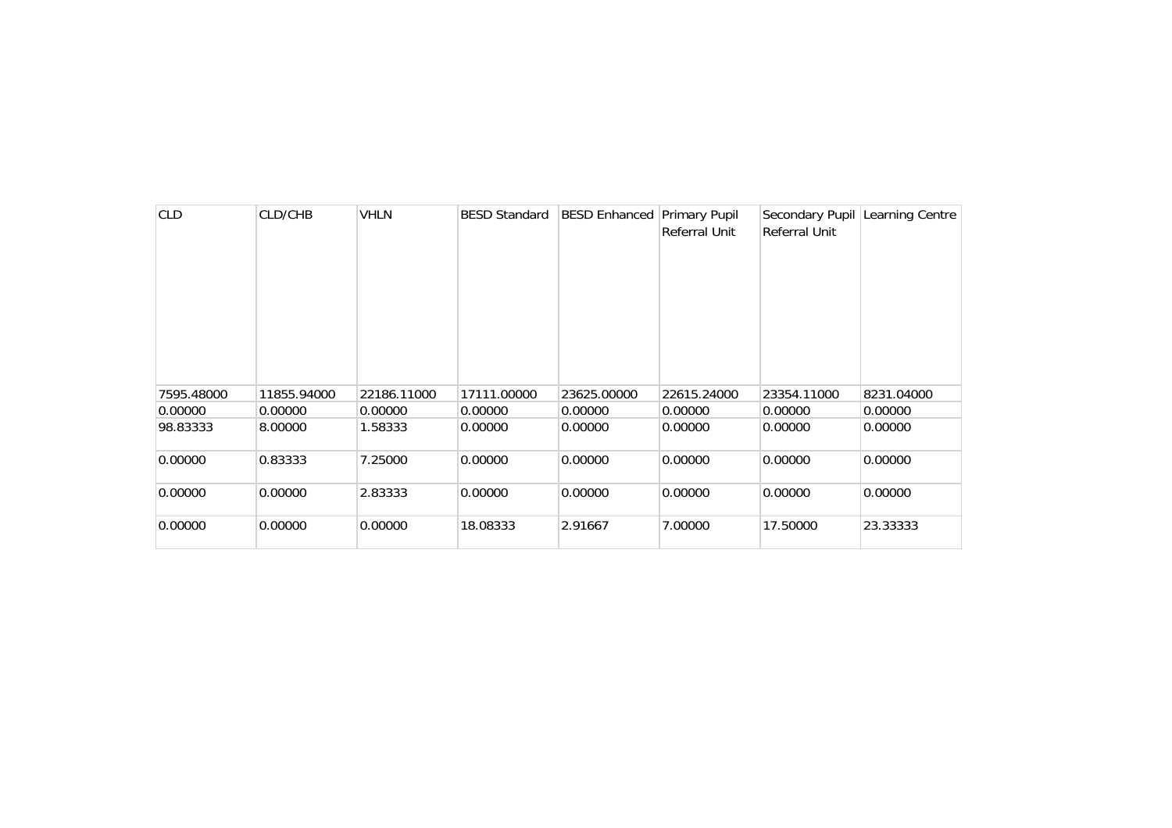| <b>CLD</b> | CLD/CHB     | <b>VHLN</b> | <b>BESD Standard</b> | <b>BESD Enhanced Primary Pupil</b> | <b>Referral Unit</b> | <b>Referral Unit</b> | Secondary Pupil Learning Centre |
|------------|-------------|-------------|----------------------|------------------------------------|----------------------|----------------------|---------------------------------|
| 7595.48000 | 11855.94000 | 22186.11000 | 17111.00000          | 23625.00000                        | 22615.24000          | 23354.11000          | 8231.04000                      |
| 0.00000    | 0.00000     | 0.00000     | 0.00000              | 0.00000                            | 0.00000              | 0.00000              | 0.00000                         |
| 98.83333   | 8.00000     | 1.58333     | 0.00000              | 0.00000                            | 0.00000              | 0.00000              | 0.00000                         |
| 0.00000    | 0.83333     | 7.25000     | 0.00000              | 0.00000                            | 0.00000              | 0.00000              | 0.00000                         |
| 0.00000    | 0.00000     | 2.83333     | 0.00000              | 0.00000                            | 0.00000              | 0.00000              | 0.00000                         |
| 0.00000    | 0.00000     | 0.00000     | 18.08333             | 2.91667                            | 7.00000              | 17.50000             | 23.33333                        |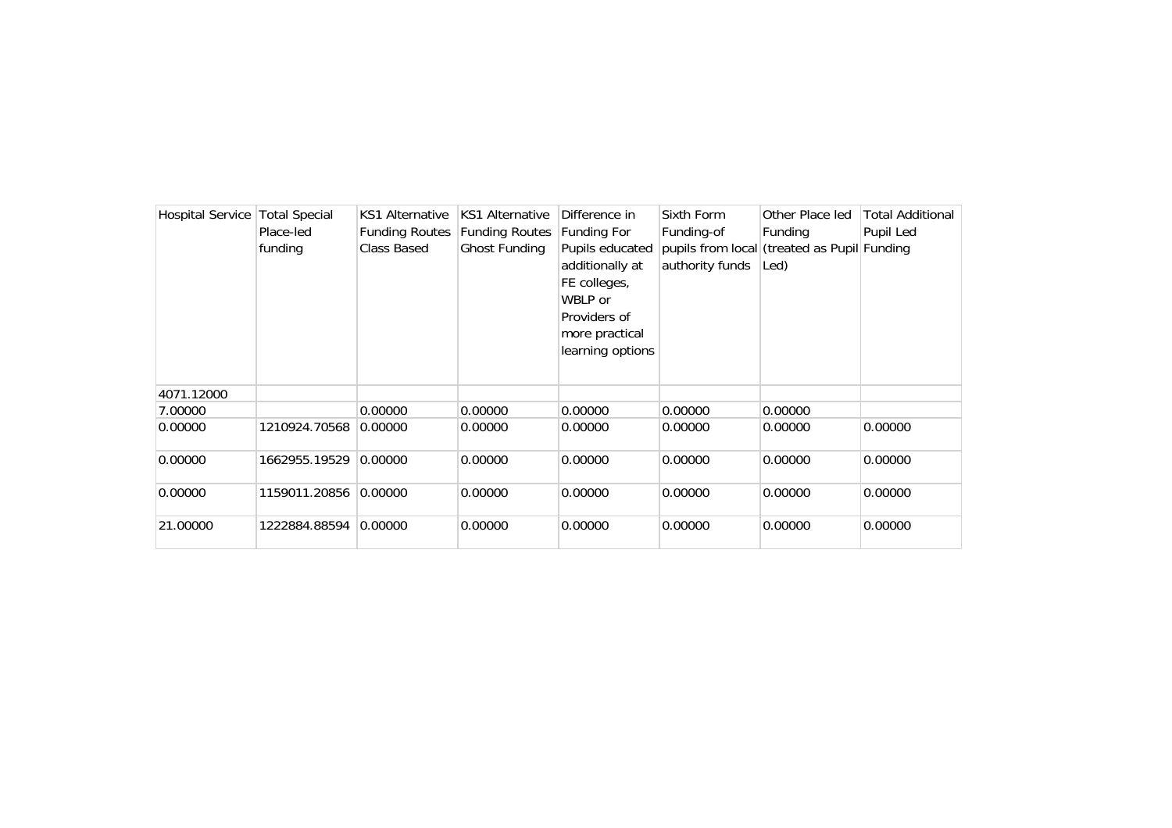| <b>Hospital Service</b> | <b>Total Special</b> | KS1 Alternative       | <b>KS1 Alternative</b> | Difference in    | Sixth Form      | Other Place led                             | <b>Total Additional</b> |
|-------------------------|----------------------|-----------------------|------------------------|------------------|-----------------|---------------------------------------------|-------------------------|
|                         | Place-led            | <b>Funding Routes</b> | <b>Funding Routes</b>  | Funding For      | Funding-of      | Funding                                     | Pupil Led               |
|                         | funding              | Class Based           | Ghost Funding          | Pupils educated  |                 | pupils from local (treated as Pupil Funding |                         |
|                         |                      |                       |                        | additionally at  | authority funds | Led)                                        |                         |
|                         |                      |                       |                        | FE colleges,     |                 |                                             |                         |
|                         |                      |                       |                        | WBLP or          |                 |                                             |                         |
|                         |                      |                       |                        | Providers of     |                 |                                             |                         |
|                         |                      |                       |                        | more practical   |                 |                                             |                         |
|                         |                      |                       |                        | learning options |                 |                                             |                         |
|                         |                      |                       |                        |                  |                 |                                             |                         |
| 4071.12000              |                      |                       |                        |                  |                 |                                             |                         |
| 7.00000                 |                      | 0.00000               | 0.00000                | 0.00000          | 0.00000         | 0.00000                                     |                         |
| 0.00000                 | 1210924.70568        | 0.00000               | 0.00000                | 0.00000          | 0.00000         | 0.00000                                     | 0.00000                 |
|                         |                      |                       |                        |                  |                 |                                             |                         |
| 0.00000                 | 1662955.19529        | 0.00000               | 0.00000                | 0.00000          | 0.00000         | 0.00000                                     | 0.00000                 |
| 0.00000                 | 1159011.20856        | 0.00000               | 0.00000                | 0.00000          | 0.00000         | 0.00000                                     | 0.00000                 |
|                         |                      |                       |                        |                  |                 |                                             |                         |
| 21.00000                | 1222884.88594        | 0.00000               | 0.00000                | 0.00000          | 0.00000         | 0.00000                                     | 0.00000                 |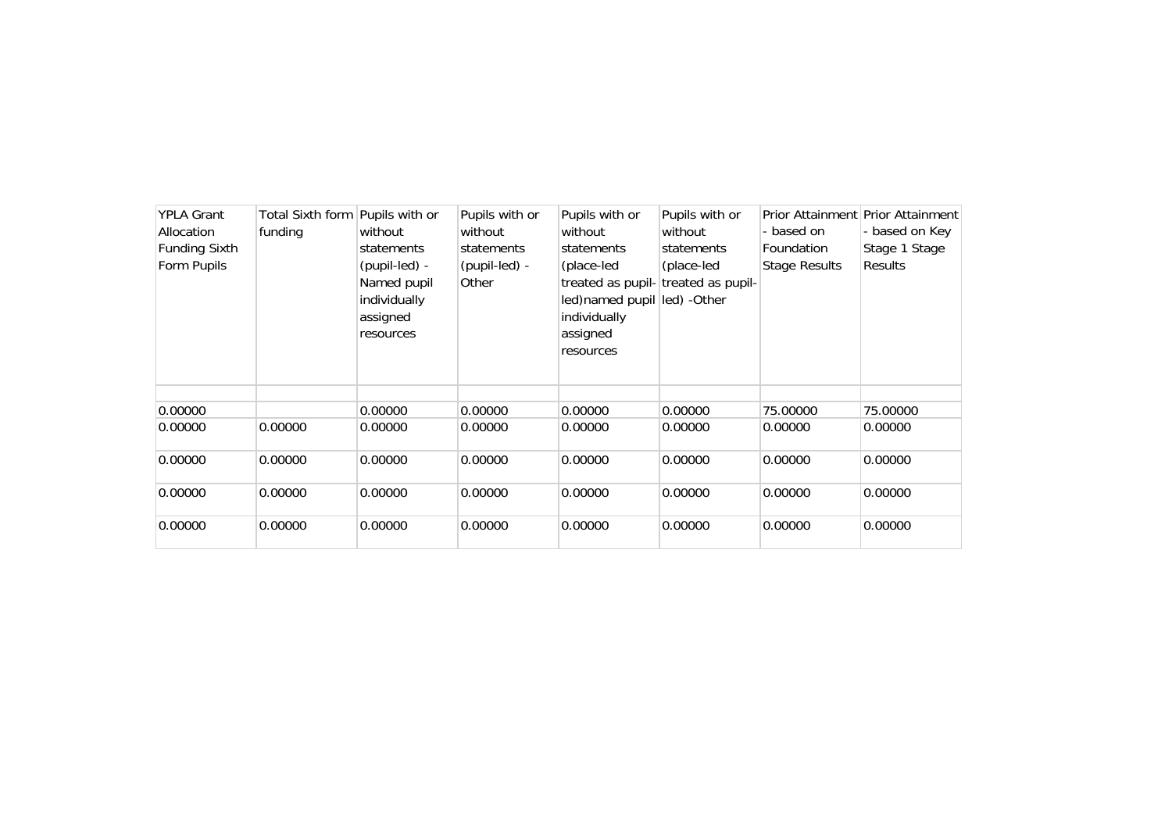| <b>YPLA Grant</b><br>Allocation<br><b>Funding Sixth</b><br>Form Pupils | Total Sixth form Pupils with or<br>funding | without<br>statements<br>(pupil-led) -<br>Named pupil<br>individually<br>assigned<br>resources | Pupils with or<br>without<br>statements<br>(pupil-led) -<br>Other | Pupils with or<br>without<br>statements<br>(place-led<br>led) named pupil led) - Other<br>individually<br>assigned<br>resources | Pupils with or<br>without<br>statements<br>(place-led<br>treated as pupil- treated as pupil- | - based on<br>Foundation<br><b>Stage Results</b> | Prior Attainment Prior Attainment<br>- based on Key<br>Stage 1 Stage<br><b>Results</b> |
|------------------------------------------------------------------------|--------------------------------------------|------------------------------------------------------------------------------------------------|-------------------------------------------------------------------|---------------------------------------------------------------------------------------------------------------------------------|----------------------------------------------------------------------------------------------|--------------------------------------------------|----------------------------------------------------------------------------------------|
| 0.00000                                                                |                                            | 0.00000                                                                                        | 0.00000                                                           | 0.00000                                                                                                                         | 0.00000                                                                                      | 75.00000                                         | 75.00000                                                                               |
| 0.00000                                                                | 0.00000                                    | 0.00000                                                                                        | 0.00000                                                           | 0.00000                                                                                                                         | 0.00000                                                                                      | 0.00000                                          | 0.00000                                                                                |
| 0.00000                                                                | 0.00000                                    | 0.00000                                                                                        | 0.00000                                                           | 0.00000                                                                                                                         | 0.00000                                                                                      | 0.00000                                          | 0.00000                                                                                |
| 0.00000                                                                | 0.00000                                    | 0.00000                                                                                        | 0.00000                                                           | 0.00000                                                                                                                         | 0.00000                                                                                      | 0.00000                                          | 0.00000                                                                                |
| 0.00000                                                                | 0.00000                                    | 0.00000                                                                                        | 0.00000                                                           | 0.00000                                                                                                                         | 0.00000                                                                                      | 0.00000                                          | 0.00000                                                                                |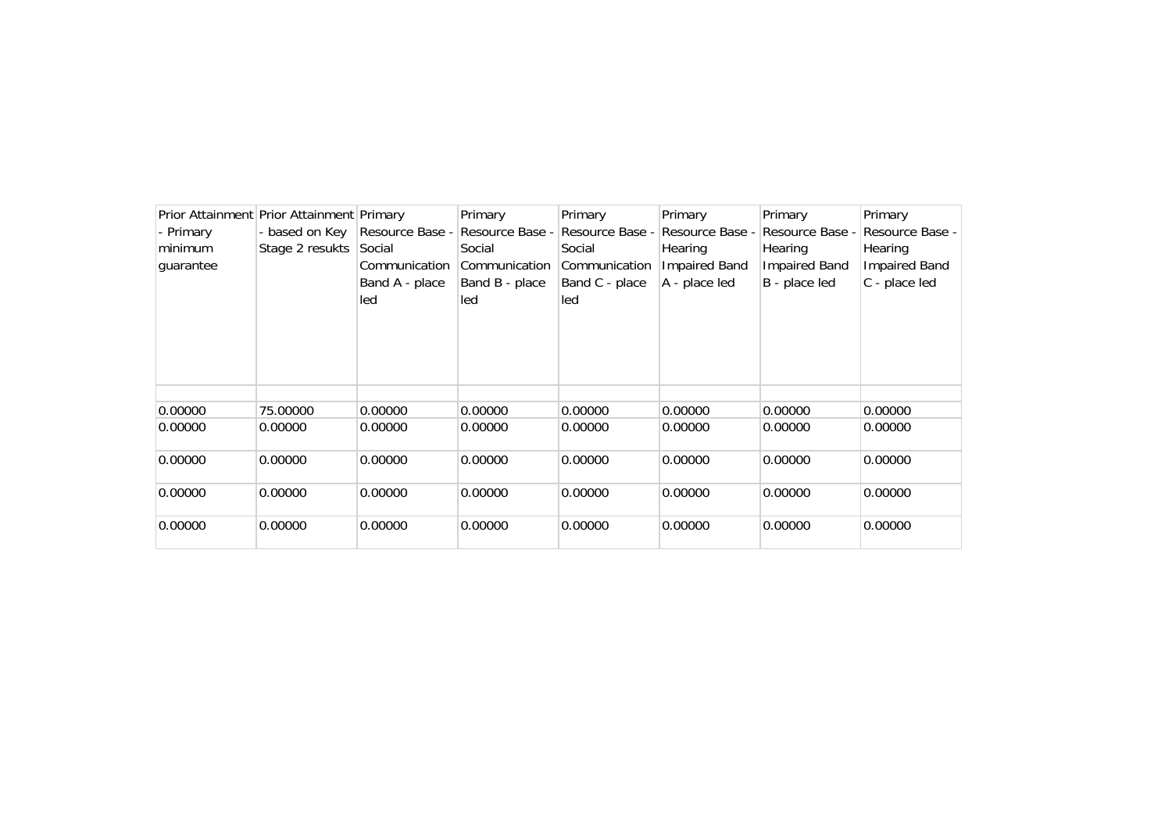|           | Prior Attainment Prior Attainment Primary |                 | Primary         | Primary         | Primary              | Primary         | Primary              |
|-----------|-------------------------------------------|-----------------|-----------------|-----------------|----------------------|-----------------|----------------------|
| - Primary | - based on Key                            | Resource Base - | Resource Base - | Resource Base - | Resource Base -      | Resource Base - | Resource Base -      |
| minimum   | Stage 2 resukts                           | Social          | Social          | Social          | Hearing              | Hearing         | Hearing              |
| guarantee |                                           | Communication   | Communication   | Communication   | <b>Impaired Band</b> | Impaired Band   | <b>Impaired Band</b> |
|           |                                           | Band A - place  | Band B - place  | Band C - place  | A - place led        | B - place led   | C - place led        |
|           |                                           | led             | led             | led             |                      |                 |                      |
|           |                                           |                 |                 |                 |                      |                 |                      |
|           |                                           |                 |                 |                 |                      |                 |                      |
|           |                                           |                 |                 |                 |                      |                 |                      |
|           |                                           |                 |                 |                 |                      |                 |                      |
|           |                                           |                 |                 |                 |                      |                 |                      |
| 0.00000   | 75.00000                                  | 0.00000         | 0.00000         | 0.00000         | 0.00000              | 0.00000         | 0.00000              |
| 0.00000   | 0.00000                                   | 0.00000         | 0.00000         | 0.00000         | 0.00000              | 0.00000         | 0.00000              |
|           |                                           |                 |                 |                 |                      |                 |                      |
| 0.00000   | 0.00000                                   | 0.00000         | 0.00000         | 0.00000         | 0.00000              | 0.00000         | 0.00000              |
|           |                                           |                 |                 |                 |                      |                 |                      |
| 0.00000   | 0.00000                                   | 0.00000         | 0.00000         | 0.00000         | 0.00000              | 0.00000         | 0.00000              |
|           |                                           |                 |                 |                 |                      |                 |                      |
| 0.00000   | 0.00000                                   | 0.00000         | 0.00000         | 0.00000         | 0.00000              | 0.00000         | 0.00000              |
|           |                                           |                 |                 |                 |                      |                 |                      |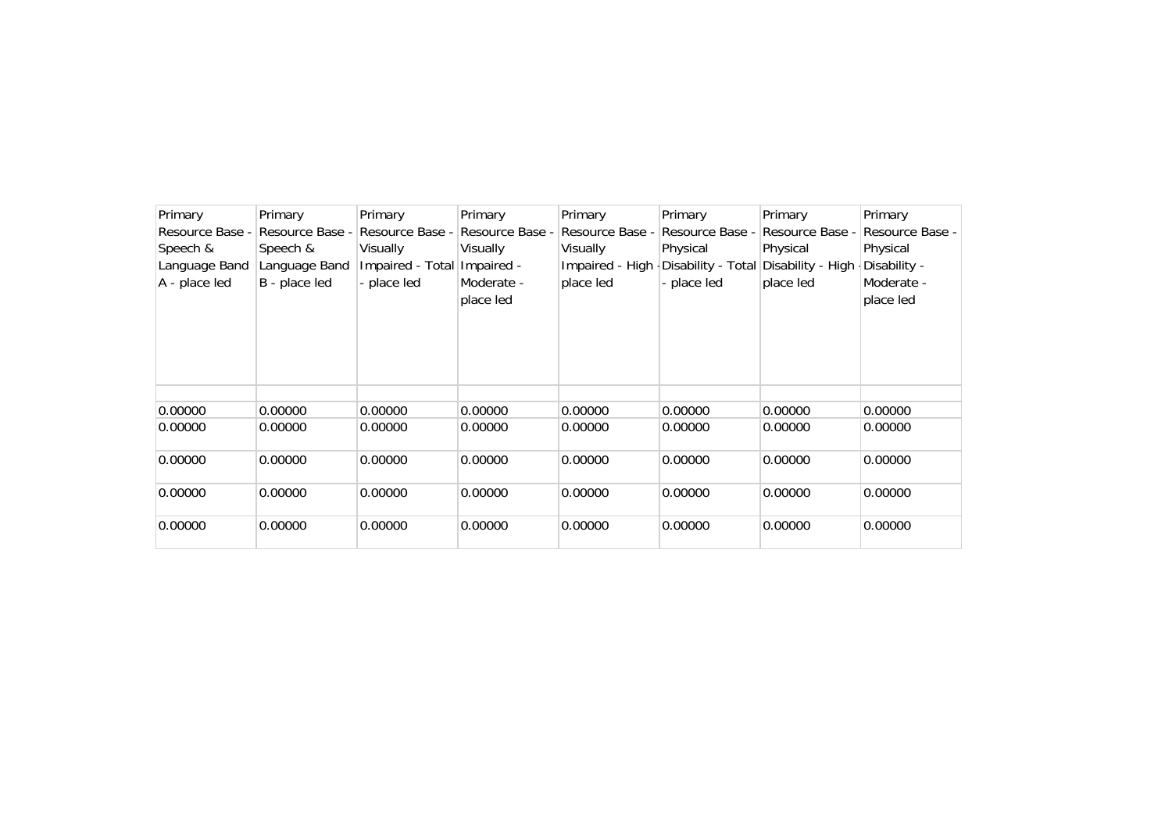| Primary         | Primary         | Primary                     | Primary         | Primary         | Primary                              | Primary         | Primary         |
|-----------------|-----------------|-----------------------------|-----------------|-----------------|--------------------------------------|-----------------|-----------------|
| Resource Base - | Resource Base - | Resource Base -             | Resource Base - | Resource Base - | Resource Base -                      | Resource Base - | Resource Base - |
| Speech &        | Speech &        | Visually                    | Visually        | Visually        | Physical                             | Physical        | Physical        |
| Language Band   | Language Band   | Impaired - Total Impaired - |                 | Impaired - High | Disability - Total Disability - High |                 | Disability -    |
| A - place led   | B - place led   | - place led                 | Moderate -      | place led       | - place led                          | place led       | Moderate -      |
|                 |                 |                             | place led       |                 |                                      |                 | place led       |
|                 |                 |                             |                 |                 |                                      |                 |                 |
|                 |                 |                             |                 |                 |                                      |                 |                 |
|                 |                 |                             |                 |                 |                                      |                 |                 |
|                 |                 |                             |                 |                 |                                      |                 |                 |
|                 |                 |                             |                 |                 |                                      |                 |                 |
| 0.00000         | 0.00000         | 0.00000                     | 0.00000         | 0.00000         | 0.00000                              | 0.00000         | 0.00000         |
| 0.00000         | 0.00000         | 0.00000                     | 0.00000         | 0.00000         | 0.00000                              | 0.00000         | 0.00000         |
|                 |                 |                             |                 |                 |                                      |                 |                 |
| 0.00000         | 0.00000         | 0.00000                     | 0.00000         | 0.00000         | 0.00000                              | 0.00000         | 0.00000         |
|                 |                 |                             |                 |                 |                                      |                 |                 |
| 0.00000         | 0.00000         | 0.00000                     | 0.00000         | 0.00000         | 0.00000                              | 0.00000         | 0.00000         |
|                 |                 |                             |                 |                 |                                      |                 |                 |
| 0.00000         | 0.00000         | 0.00000                     | 0.00000         | 0.00000         | 0.00000                              | 0.00000         | 0.00000         |
|                 |                 |                             |                 |                 |                                      |                 |                 |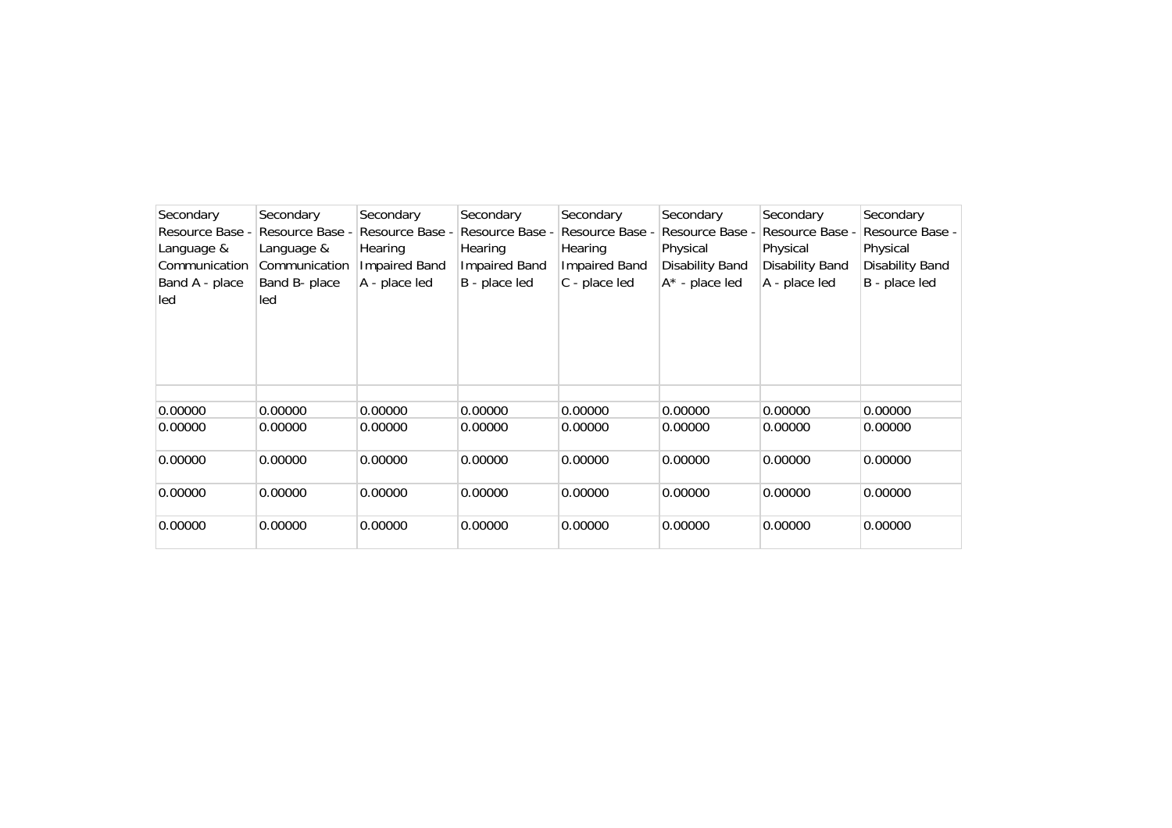| Secondary<br>Resource Base -<br>Language &<br>Communication<br>Band A - place<br>led | Secondary<br>Resource Base -<br>Language &<br>Communication<br>Band B- place<br>led | Secondary<br>Resource Base -<br>Hearing<br><b>Impaired Band</b><br>A - place led | Secondary<br>Resource Base -<br>Hearing<br><b>Impaired Band</b><br>B - place led | Secondary<br>Resource Base -<br>Hearing<br><b>Impaired Band</b><br>C - place led | Secondary<br>Resource Base -<br>Physical<br>Disability Band<br>$A^*$ - place led | Secondary<br>Resource Base -<br>Physical<br><b>Disability Band</b><br>A - place led | Secondary<br>Resource Base -<br>Physical<br>Disability Band<br>B - place led |
|--------------------------------------------------------------------------------------|-------------------------------------------------------------------------------------|----------------------------------------------------------------------------------|----------------------------------------------------------------------------------|----------------------------------------------------------------------------------|----------------------------------------------------------------------------------|-------------------------------------------------------------------------------------|------------------------------------------------------------------------------|
|                                                                                      |                                                                                     |                                                                                  |                                                                                  |                                                                                  |                                                                                  |                                                                                     |                                                                              |
| 0.00000                                                                              | 0.00000                                                                             | 0.00000                                                                          | 0.00000                                                                          | 0.00000                                                                          | 0.00000                                                                          | 0.00000                                                                             | 0.00000                                                                      |
| 0.00000                                                                              | 0.00000                                                                             | 0.00000                                                                          | 0.00000                                                                          | 0.00000                                                                          | 0.00000                                                                          | 0.00000                                                                             | 0.00000                                                                      |
| 0.00000                                                                              | 0.00000                                                                             | 0.00000                                                                          | 0.00000                                                                          | 0.00000                                                                          | 0.00000                                                                          | 0.00000                                                                             | 0.00000                                                                      |
| 0.00000                                                                              | 0.00000                                                                             | 0.00000                                                                          | 0.00000                                                                          | 0.00000                                                                          | 0.00000                                                                          | 0.00000                                                                             | 0.00000                                                                      |
| 0.00000                                                                              | 0.00000                                                                             | 0.00000                                                                          | 0.00000                                                                          | 0.00000                                                                          | 0.00000                                                                          | 0.00000                                                                             | 0.00000                                                                      |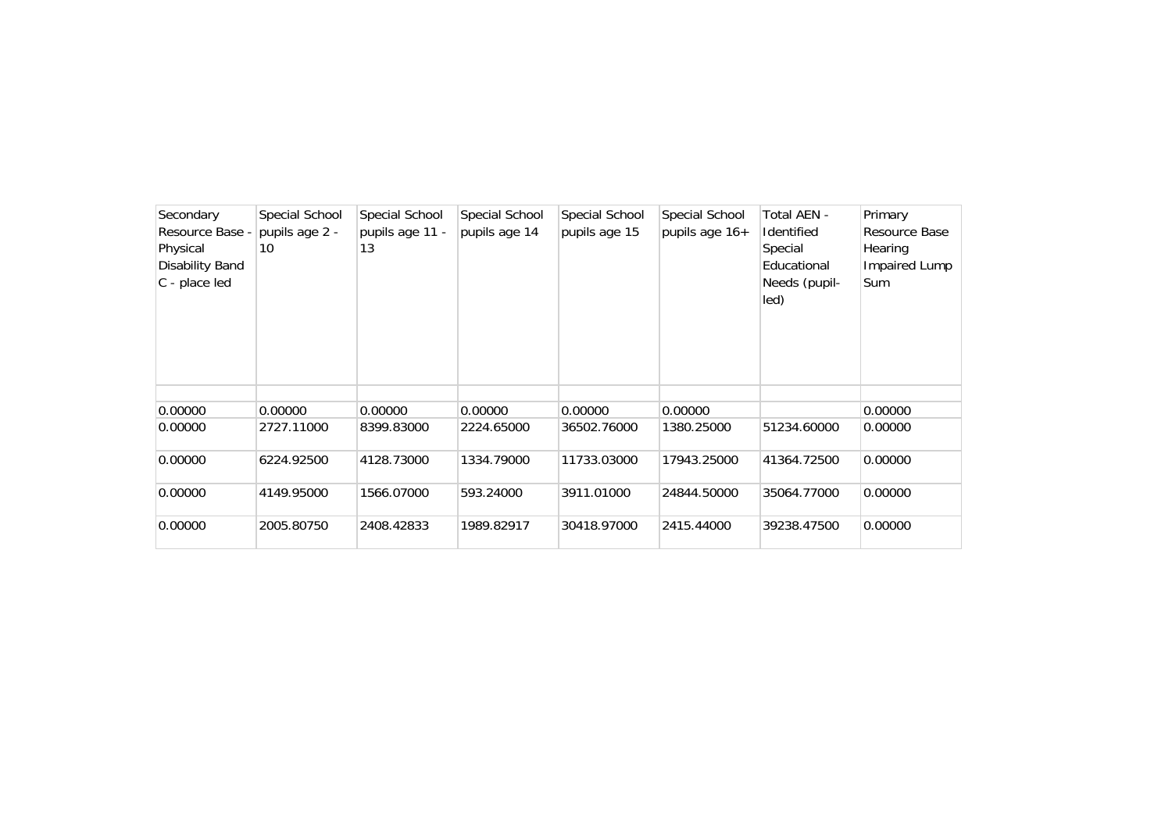| Secondary              | Special School | Special School  | Special School | Special School | Special School | Total AEN -       | Primary       |
|------------------------|----------------|-----------------|----------------|----------------|----------------|-------------------|---------------|
| Resource Base -        | pupils age 2 - | pupils age 11 - | pupils age 14  | pupils age 15  | pupils age 16+ | <b>Identified</b> | Resource Base |
| Physical               | 10             | 13              |                |                |                | Special           | Hearing       |
| <b>Disability Band</b> |                |                 |                |                |                | Educational       | Impaired Lump |
| C - place led          |                |                 |                |                |                | Needs (pupil-     | <b>Sum</b>    |
|                        |                |                 |                |                |                | led)              |               |
|                        |                |                 |                |                |                |                   |               |
|                        |                |                 |                |                |                |                   |               |
|                        |                |                 |                |                |                |                   |               |
|                        |                |                 |                |                |                |                   |               |
|                        |                |                 |                |                |                |                   |               |
| 0.00000                | 0.00000        | 0.00000         | 0.00000        | 0.00000        | 0.00000        |                   | 0.00000       |
| 0.00000                | 2727.11000     | 8399.83000      | 2224.65000     | 36502.76000    | 1380.25000     | 51234.60000       | 0.00000       |
|                        |                |                 |                |                |                |                   |               |
| 0.00000                | 6224.92500     | 4128.73000      | 1334.79000     | 11733.03000    | 17943.25000    | 41364.72500       | 0.00000       |
|                        |                |                 |                |                |                |                   |               |
| 0.00000                | 4149.95000     | 1566.07000      | 593.24000      | 3911.01000     | 24844.50000    | 35064.77000       | 0.00000       |
|                        |                |                 |                |                |                |                   |               |
| 0.00000                | 2005.80750     | 2408.42833      | 1989.82917     | 30418.97000    | 2415.44000     | 39238.47500       | 0.00000       |
|                        |                |                 |                |                |                |                   |               |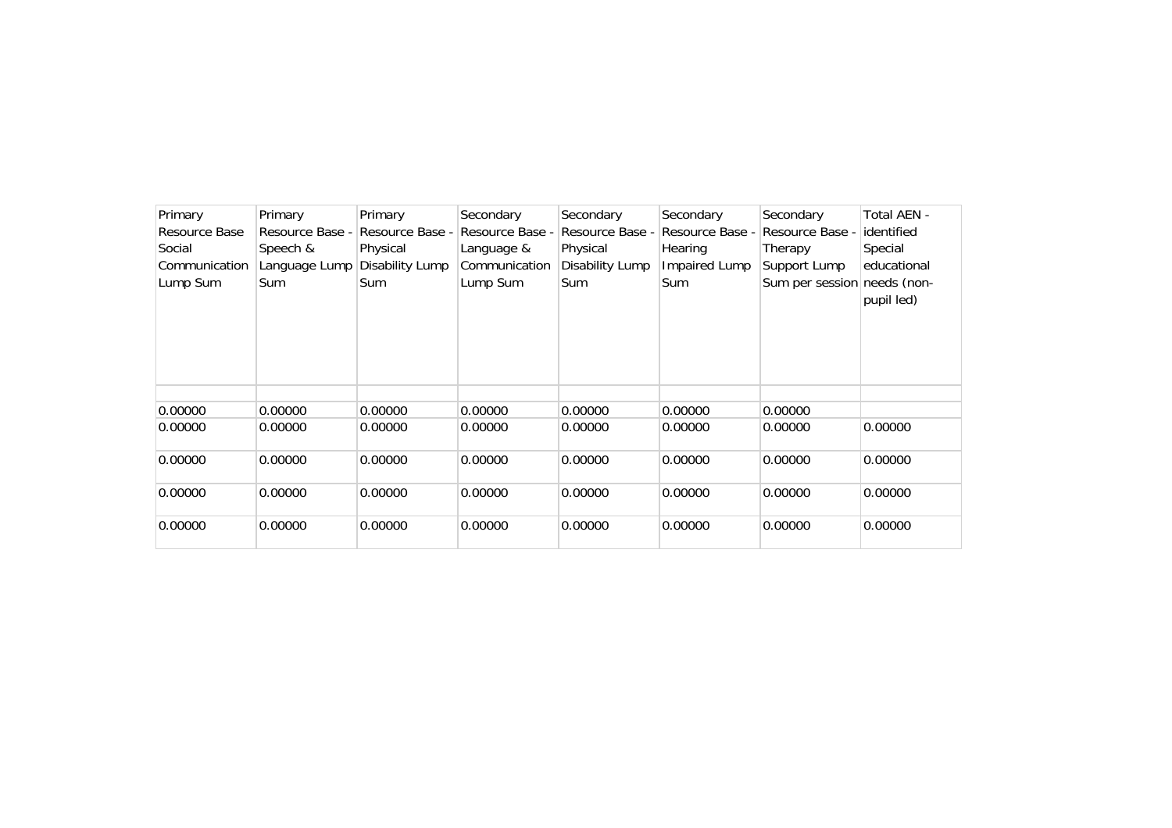| Primary       | Primary         | Primary         | Secondary       | Secondary       | Secondary       | Secondary                   | Total AEN - |
|---------------|-----------------|-----------------|-----------------|-----------------|-----------------|-----------------------------|-------------|
| Resource Base | Resource Base - | Resource Base - | Resource Base - | Resource Base - | Resource Base - | Resource Base -             | identified  |
| Social        | Speech &        | Physical        | Language &      | Physical        | Hearing         | Therapy                     | Special     |
| Communication | Language Lump   | Disability Lump | Communication   | Disability Lump | Impaired Lump   | Support Lump                | educational |
| Lump Sum      | Sum             | Sum             | Lump Sum        | Sum             | <b>Sum</b>      | Sum per session needs (non- |             |
|               |                 |                 |                 |                 |                 |                             | pupil led)  |
|               |                 |                 |                 |                 |                 |                             |             |
|               |                 |                 |                 |                 |                 |                             |             |
|               |                 |                 |                 |                 |                 |                             |             |
|               |                 |                 |                 |                 |                 |                             |             |
|               |                 |                 |                 |                 |                 |                             |             |
| 0.00000       | 0.00000         | 0.00000         | 0.00000         | 0.00000         | 0.00000         | 0.00000                     |             |
| 0.00000       | 0.00000         | 0.00000         | 0.00000         | 0.00000         | 0.00000         | 0.00000                     | 0.00000     |
|               |                 |                 |                 |                 |                 |                             |             |
| 0.00000       | 0.00000         | 0.00000         | 0.00000         | 0.00000         | 0.00000         | 0.00000                     | 0.00000     |
|               |                 |                 |                 |                 |                 |                             |             |
| 0.00000       | 0.00000         | 0.00000         | 0.00000         | 0.00000         | 0.00000         | 0.00000                     | 0.00000     |
|               |                 |                 |                 |                 |                 |                             |             |
| 0.00000       | 0.00000         | 0.00000         | 0.00000         | 0.00000         | 0.00000         | 0.00000                     | 0.00000     |
|               |                 |                 |                 |                 |                 |                             |             |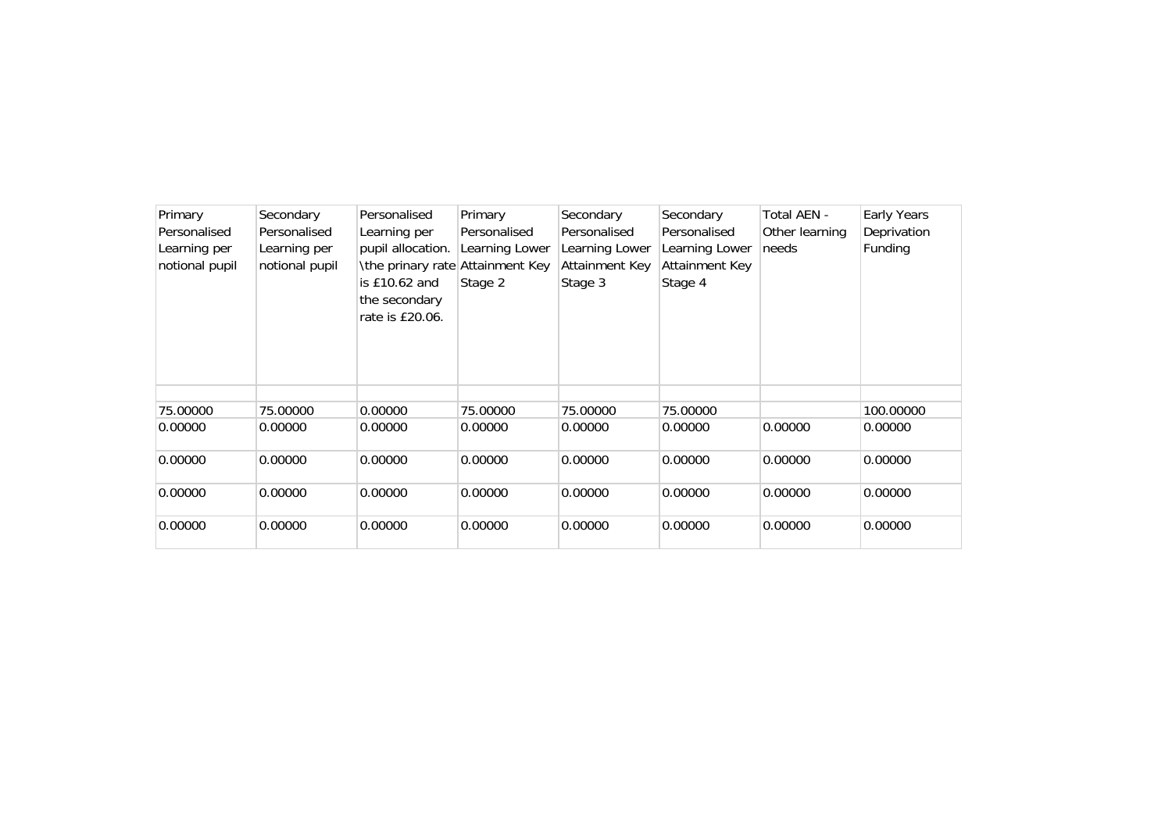| Primary<br>Personalised<br>Learning per<br>notional pupil | Secondary<br>Personalised<br>Learning per<br>notional pupil | Personalised<br>Learning per<br>pupil allocation.<br>\the prinary rate Attainment Key<br>is $£10.62$ and<br>the secondary<br>rate is £20.06. | Primary<br>Personalised<br>Learning Lower<br>Stage 2 | Secondary<br>Personalised<br>Learning Lower<br><b>Attainment Key</b><br>Stage 3 | Secondary<br>Personalised<br>Learning Lower<br>Attainment Key<br>Stage 4 | Total AEN -<br>Other learning<br>needs | Early Years<br>Deprivation<br>Funding |
|-----------------------------------------------------------|-------------------------------------------------------------|----------------------------------------------------------------------------------------------------------------------------------------------|------------------------------------------------------|---------------------------------------------------------------------------------|--------------------------------------------------------------------------|----------------------------------------|---------------------------------------|
|                                                           |                                                             |                                                                                                                                              |                                                      |                                                                                 |                                                                          |                                        |                                       |
| 75.00000                                                  | 75.00000                                                    | 0.00000                                                                                                                                      | 75.00000                                             | 75.00000                                                                        | 75.00000                                                                 |                                        | 100.00000                             |
| 0.00000                                                   | 0.00000                                                     | 0.00000                                                                                                                                      | 0.00000                                              | 0.00000                                                                         | 0.00000                                                                  | 0.00000                                | 0.00000                               |
| 0.00000                                                   | 0.00000                                                     | 0.00000                                                                                                                                      | 0.00000                                              | 0.00000                                                                         | 0.00000                                                                  | 0.00000                                | 0.00000                               |
| 0.00000                                                   | 0.00000                                                     | 0.00000                                                                                                                                      | 0.00000                                              | 0.00000                                                                         | 0.00000                                                                  | 0.00000                                | 0.00000                               |
| 0.00000                                                   | 0.00000                                                     | 0.00000                                                                                                                                      | 0.00000                                              | 0.00000                                                                         | 0.00000                                                                  | 0.00000                                | 0.00000                               |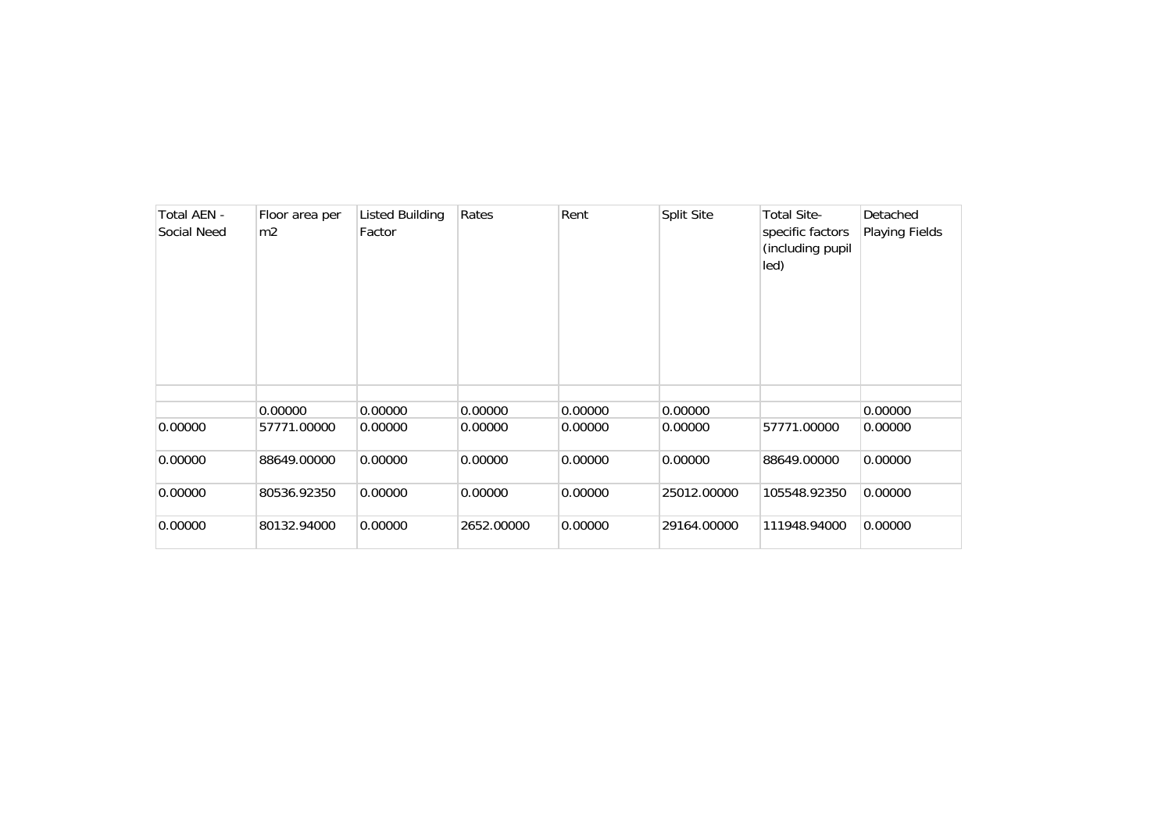| Total AEN -<br>Social Need | Floor area per<br>m2 | Listed Building<br>Factor | Rates      | Rent    | Split Site  | <b>Total Site-</b><br>specific factors<br>(including pupil<br>led) | Detached<br>Playing Fields |
|----------------------------|----------------------|---------------------------|------------|---------|-------------|--------------------------------------------------------------------|----------------------------|
|                            |                      |                           |            |         |             |                                                                    |                            |
|                            | 0.00000              | 0.00000                   | 0.00000    | 0.00000 | 0.00000     |                                                                    | 0.00000                    |
| 0.00000                    | 57771.00000          | 0.00000                   | 0.00000    | 0.00000 | 0.00000     | 57771.00000                                                        | 0.00000                    |
| 0.00000                    | 88649.00000          | 0.00000                   | 0.00000    | 0.00000 | 0.00000     | 88649.00000                                                        | 0.00000                    |
| 0.00000                    | 80536.92350          | 0.00000                   | 0.00000    | 0.00000 | 25012.00000 | 105548.92350                                                       | 0.00000                    |
| 0.00000                    | 80132.94000          | 0.00000                   | 2652.00000 | 0.00000 | 29164.00000 | 111948.94000                                                       | 0.00000                    |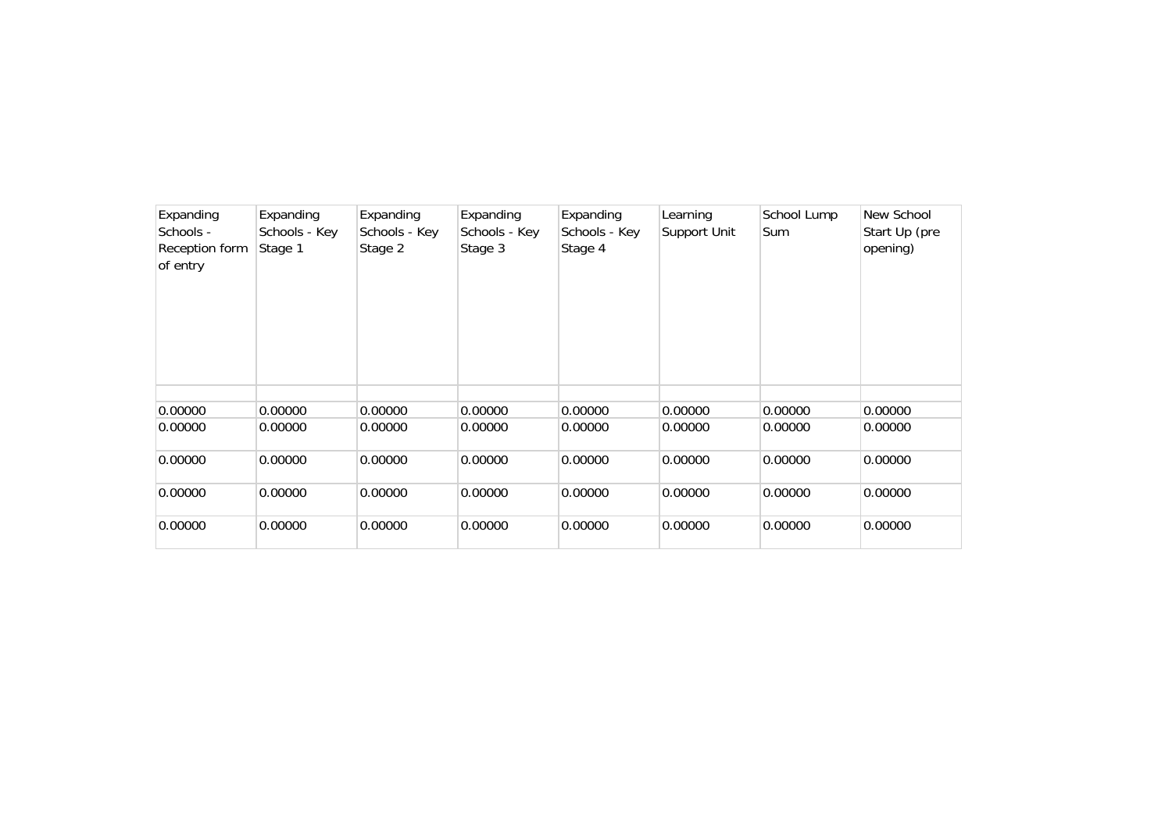| Expanding<br>Schools -<br>Reception form<br>of entry | Expanding<br>Schools - Key<br>Stage 1 | Expanding<br>Schools - Key<br>Stage 2 | Expanding<br>Schools - Key<br>Stage 3 | Expanding<br>Schools - Key<br>Stage 4 | Learning<br>Support Unit | School Lump<br><b>Sum</b> | New School<br>Start Up (pre<br>opening) |
|------------------------------------------------------|---------------------------------------|---------------------------------------|---------------------------------------|---------------------------------------|--------------------------|---------------------------|-----------------------------------------|
|                                                      |                                       |                                       |                                       |                                       |                          |                           |                                         |
| 0.00000                                              | 0.00000                               | 0.00000                               | 0.00000                               | 0.00000                               | 0.00000                  | 0.00000                   | 0.00000                                 |
| 0.00000                                              | 0.00000                               | 0.00000                               | 0.00000                               | 0.00000                               | 0.00000                  | 0.00000                   | 0.00000                                 |
| 0.00000                                              | 0.00000                               | 0.00000                               | 0.00000                               | 0.00000                               | 0.00000                  | 0.00000                   | 0.00000                                 |
| 0.00000                                              | 0.00000                               | 0.00000                               | 0.00000                               | 0.00000                               | 0.00000                  | 0.00000                   | 0.00000                                 |
| 0.00000                                              | 0.00000                               | 0.00000                               | 0.00000                               | 0.00000                               | 0.00000                  | 0.00000                   | 0.00000                                 |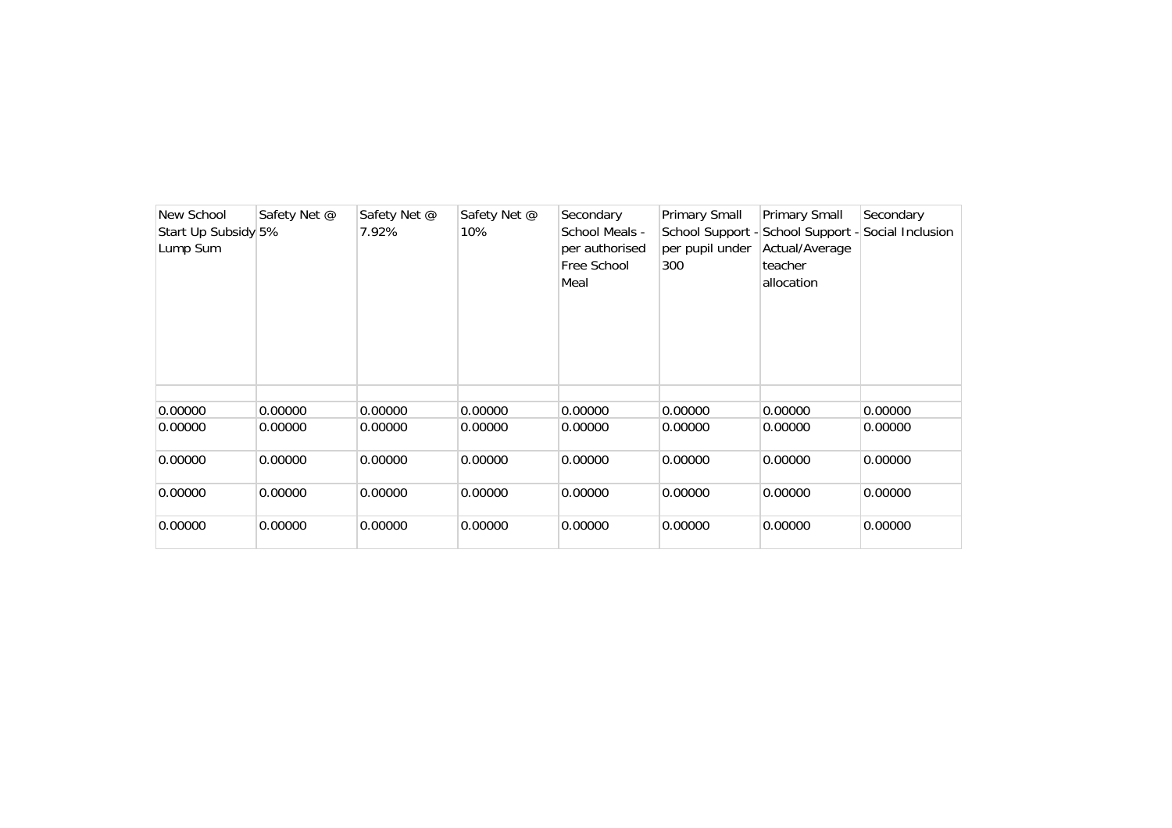| New School<br>Start Up Subsidy 5%<br>Lump Sum | Safety Net @ | Safety Net @<br>7.92% | Safety Net @<br>10% | Secondary<br>School Meals -<br>per authorised<br>Free School<br>Meal | Primary Small<br>per pupil under<br>300 | Primary Small<br>School Support - School Support - Social Inclusion<br>Actual/Average<br>teacher<br>allocation | Secondary |
|-----------------------------------------------|--------------|-----------------------|---------------------|----------------------------------------------------------------------|-----------------------------------------|----------------------------------------------------------------------------------------------------------------|-----------|
| 0.00000                                       | 0.00000      | 0.00000               | 0.00000             | 0.00000                                                              | 0.00000                                 | 0.00000                                                                                                        | 0.00000   |
| 0.00000                                       | 0.00000      | 0.00000               | 0.00000             | 0.00000                                                              | 0.00000                                 | 0.00000                                                                                                        | 0.00000   |
| 0.00000                                       | 0.00000      | 0.00000               | 0.00000             | 0.00000                                                              | 0.00000                                 | 0.00000                                                                                                        | 0.00000   |
| 0.00000                                       | 0.00000      | 0.00000               | 0.00000             | 0.00000                                                              | 0.00000                                 | 0.00000                                                                                                        | 0.00000   |
| 0.00000                                       | 0.00000      | 0.00000               | 0.00000             | 0.00000                                                              | 0.00000                                 | 0.00000                                                                                                        | 0.00000   |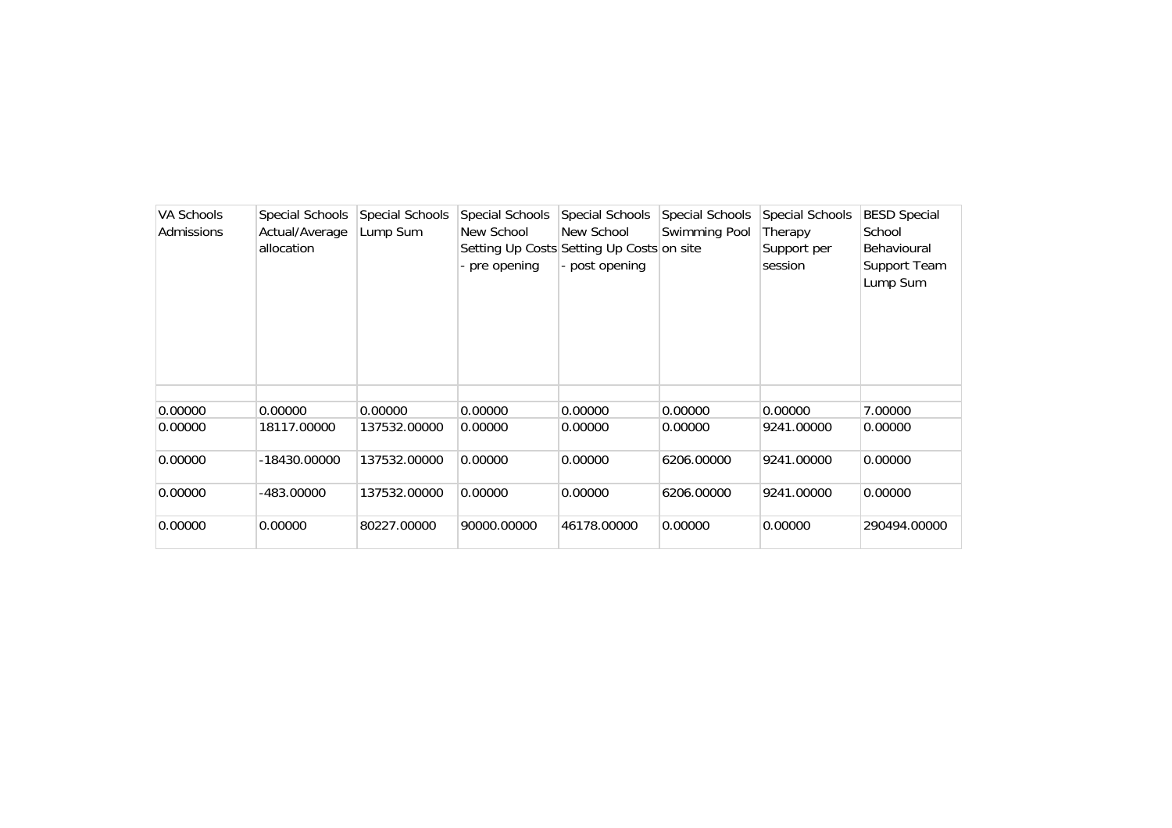| <b>VA Schools</b><br>Admissions | Special Schools<br>Actual/Average<br>allocation | Special Schools<br>Lump Sum | Special Schools<br>New School<br>- pre opening | <b>Special Schools</b><br>New School<br>Setting Up Costs Setting Up Costs on site<br>- post opening | Special Schools<br>Swimming Pool | Special Schools<br>Therapy<br>Support per<br>session | <b>BESD Special</b><br>School<br>Behavioural<br>Support Team<br>Lump Sum |
|---------------------------------|-------------------------------------------------|-----------------------------|------------------------------------------------|-----------------------------------------------------------------------------------------------------|----------------------------------|------------------------------------------------------|--------------------------------------------------------------------------|
|                                 |                                                 |                             |                                                |                                                                                                     |                                  |                                                      |                                                                          |
| 0.00000                         | 0.00000                                         | 0.00000                     | 0.00000                                        | 0.00000                                                                                             | 0.00000                          | 0.00000                                              | 7.00000                                                                  |
| 0.00000                         | 18117.00000                                     | 137532.00000                | 0.00000                                        | 0.00000                                                                                             | 0.00000                          | 9241.00000                                           | 0.00000                                                                  |
| 0.00000                         | -18430.00000                                    | 137532.00000                | 0.00000                                        | 0.00000                                                                                             | 6206.00000                       | 9241.00000                                           | 0.00000                                                                  |
| 0.00000                         | -483.00000                                      | 137532.00000                | 0.00000                                        | 0.00000                                                                                             | 6206.00000                       | 9241.00000                                           | 0.00000                                                                  |
| 0.00000                         | 0.00000                                         | 80227.00000                 | 90000.00000                                    | 46178.00000                                                                                         | 0.00000                          | 0.00000                                              | 290494.00000                                                             |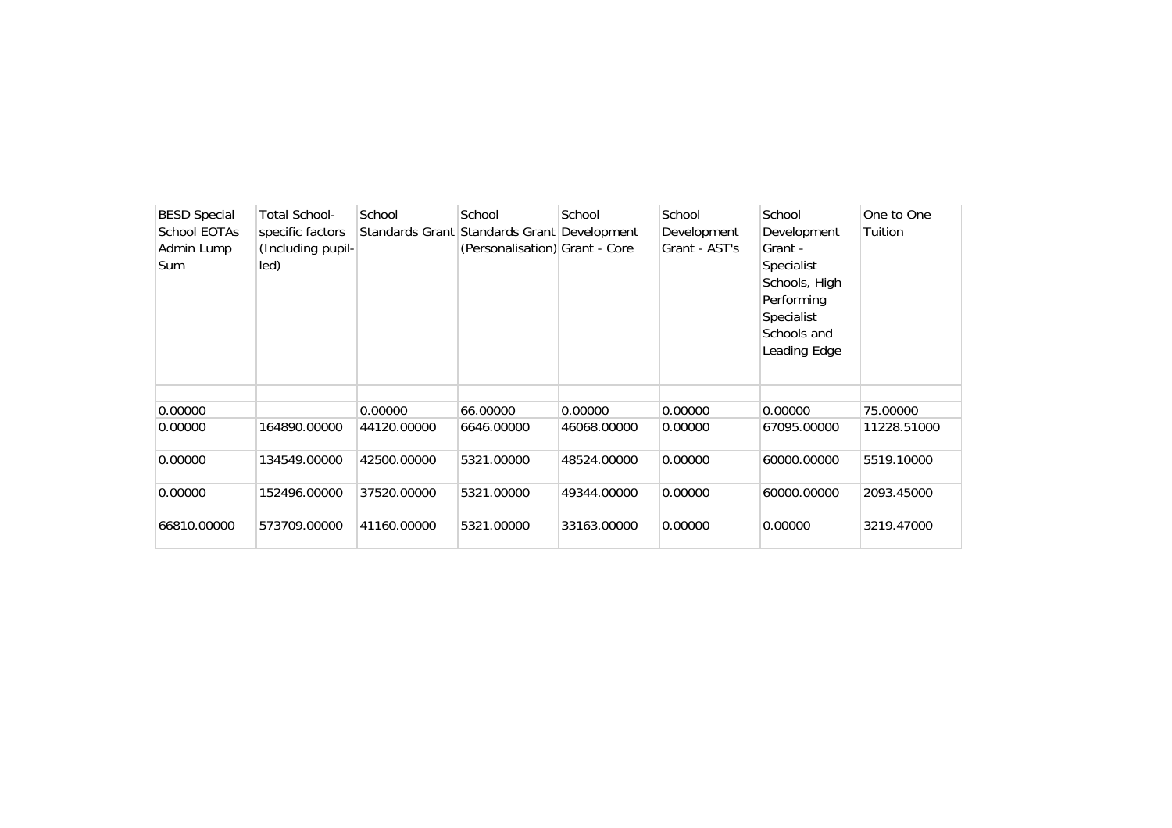| <b>BESD Special</b><br>School EOTAs<br>Admin Lump<br>Sum | <b>Total School-</b><br>specific factors<br>(Including pupil-<br>led) | School      | School<br>Standards Grant Standards Grant Development<br>(Personalisation) Grant - Core | School      | School<br>Development<br>Grant - AST's | School<br>Development<br>Grant -<br>Specialist<br>Schools, High<br>Performing<br>Specialist<br>Schools and<br>Leading Edge | One to One<br>Tuition |
|----------------------------------------------------------|-----------------------------------------------------------------------|-------------|-----------------------------------------------------------------------------------------|-------------|----------------------------------------|----------------------------------------------------------------------------------------------------------------------------|-----------------------|
|                                                          |                                                                       |             |                                                                                         |             |                                        |                                                                                                                            |                       |
| 0.00000                                                  |                                                                       | 0.00000     | 66.00000                                                                                | 0.00000     | 0.00000                                | 0.00000                                                                                                                    | 75.00000              |
| 0.00000                                                  | 164890.00000                                                          | 44120.00000 | 6646.00000                                                                              | 46068.00000 | 0.00000                                | 67095.00000                                                                                                                | 11228.51000           |
| 0.00000                                                  | 134549.00000                                                          | 42500.00000 | 5321.00000                                                                              | 48524.00000 | 0.00000                                | 60000.00000                                                                                                                | 5519.10000            |
| 0.00000                                                  | 152496.00000                                                          | 37520.00000 | 5321.00000                                                                              | 49344.00000 | 0.00000                                | 60000.00000                                                                                                                | 2093.45000            |
| 66810.00000                                              | 573709.00000                                                          | 41160.00000 | 5321.00000                                                                              | 33163.00000 | 0.00000                                | 0.00000                                                                                                                    | 3219.47000            |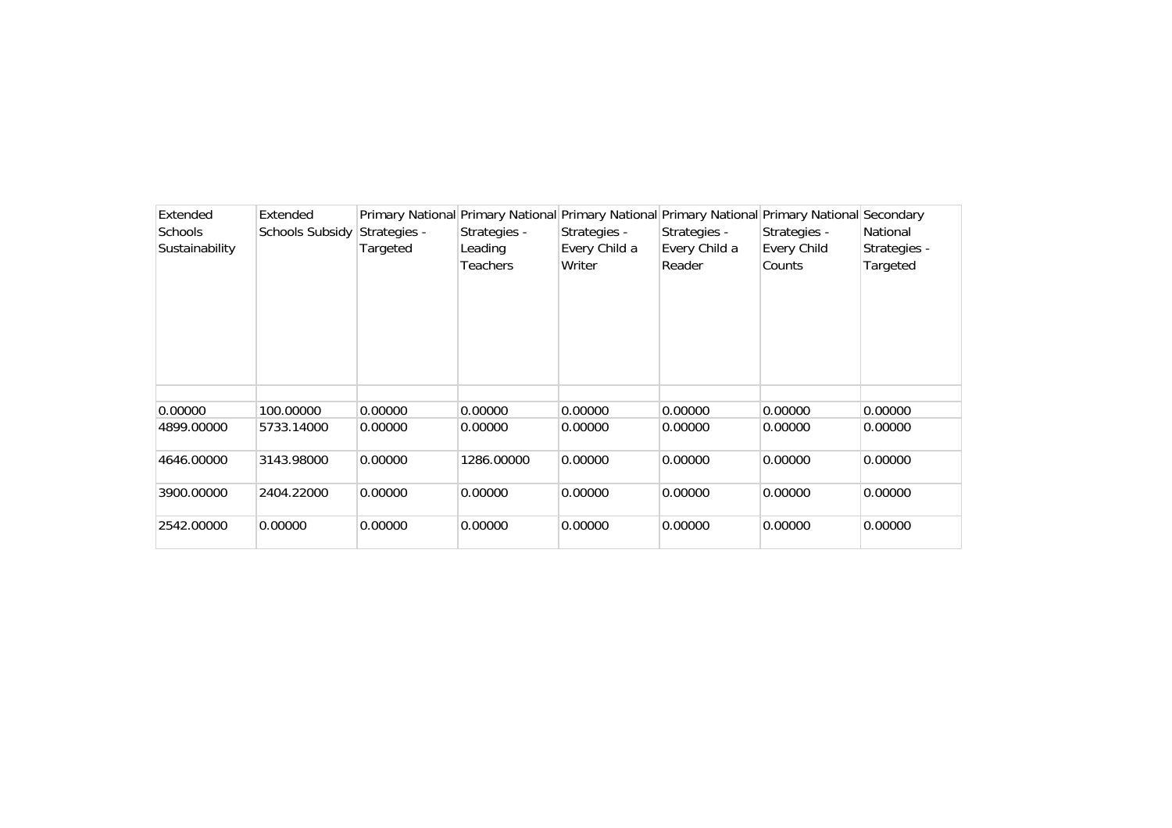| Extended       | Extended        |              |                 |               | Primary National Primary National Primary National Primary National Primary National Secondary |                    |              |
|----------------|-----------------|--------------|-----------------|---------------|------------------------------------------------------------------------------------------------|--------------------|--------------|
| <b>Schools</b> | Schools Subsidy | Strategies - | Strategies -    | Strategies -  | Strategies -                                                                                   | Strategies -       | National     |
| Sustainability |                 | Targeted     | Leading         | Every Child a | Every Child a                                                                                  | <b>Every Child</b> | Strategies - |
|                |                 |              | <b>Teachers</b> | Writer        | Reader                                                                                         | Counts             | Targeted     |
|                |                 |              |                 |               |                                                                                                |                    |              |
|                |                 |              |                 |               |                                                                                                |                    |              |
|                |                 |              |                 |               |                                                                                                |                    |              |
|                |                 |              |                 |               |                                                                                                |                    |              |
|                |                 |              |                 |               |                                                                                                |                    |              |
|                |                 |              |                 |               |                                                                                                |                    |              |
|                |                 |              |                 |               |                                                                                                |                    |              |
| 0.00000        | 100.00000       | 0.00000      | 0.00000         | 0.00000       | 0.00000                                                                                        | 0.00000            | 0.00000      |
| 4899.00000     | 5733.14000      | 0.00000      | 0.00000         | 0.00000       | 0.00000                                                                                        | 0.00000            | 0.00000      |
|                |                 |              |                 |               |                                                                                                |                    |              |
| 4646.00000     | 3143.98000      | 0.00000      | 1286.00000      | 0.00000       | 0.00000                                                                                        | 0.00000            | 0.00000      |
|                |                 |              |                 |               |                                                                                                |                    |              |
| 3900.00000     | 2404.22000      | 0.00000      | 0.00000         | 0.00000       | 0.00000                                                                                        | 0.00000            | 0.00000      |
|                |                 |              |                 |               |                                                                                                |                    |              |
| 2542.00000     | 0.00000         | 0.00000      | 0.00000         | 0.00000       | 0.00000                                                                                        | 0.00000            | 0.00000      |
|                |                 |              |                 |               |                                                                                                |                    |              |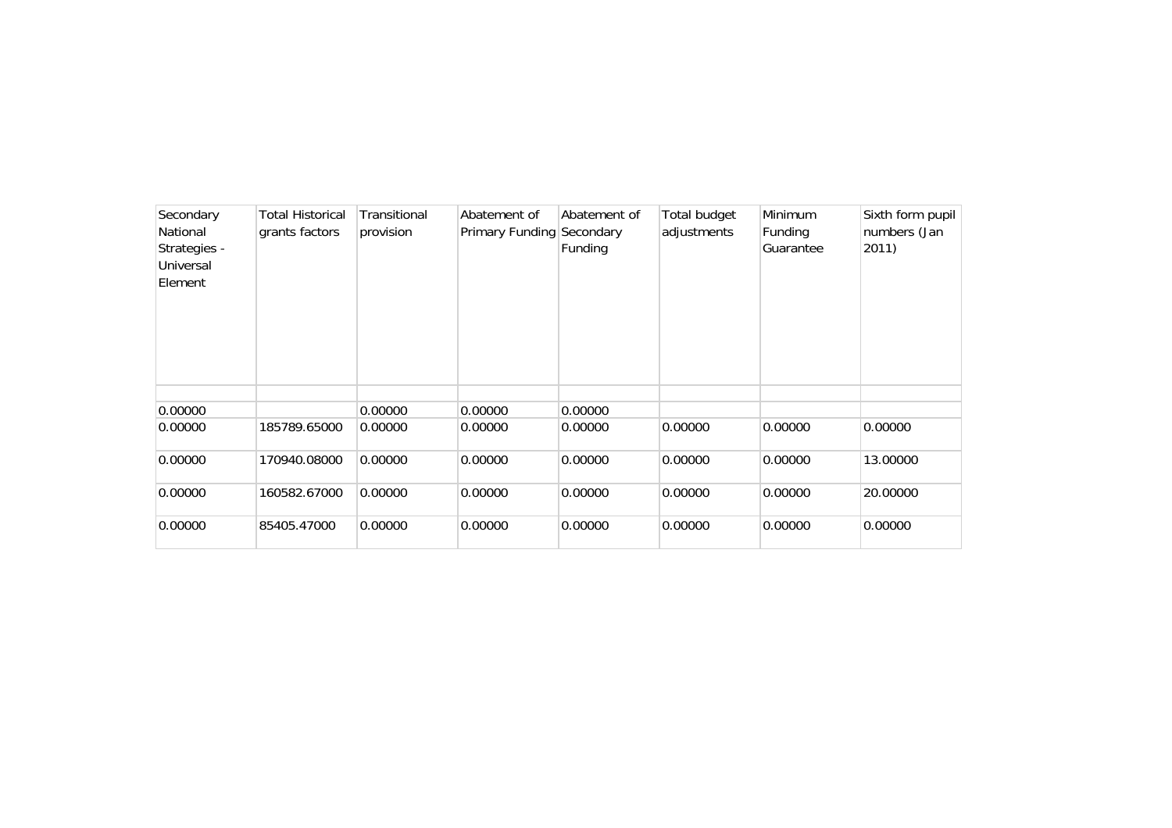| Secondary<br>National<br>Strategies -<br>Universal<br>Element | <b>Total Historical</b><br>grants factors | Transitional<br>provision | Abatement of<br>Primary Funding Secondary | Abatement of<br>Funding | Total budget<br>adjustments | Minimum<br>Funding<br>Guarantee | Sixth form pupil<br>numbers (Jan<br>2011) |
|---------------------------------------------------------------|-------------------------------------------|---------------------------|-------------------------------------------|-------------------------|-----------------------------|---------------------------------|-------------------------------------------|
| 0.00000                                                       |                                           | 0.00000                   | 0.00000                                   | 0.00000                 |                             |                                 |                                           |
| 0.00000                                                       | 185789.65000                              | 0.00000                   | 0.00000                                   | 0.00000                 | 0.00000                     | 0.00000                         | 0.00000                                   |
| 0.00000                                                       | 170940.08000                              | 0.00000                   | 0.00000                                   | 0.00000                 | 0.00000                     | 0.00000                         | 13.00000                                  |
| 0.00000                                                       | 160582.67000                              | 0.00000                   | 0.00000                                   | 0.00000                 | 0.00000                     | 0.00000                         | 20.00000                                  |
| 0.00000                                                       | 85405.47000                               | 0.00000                   | 0.00000                                   | 0.00000                 | 0.00000                     | 0.00000                         | 0.00000                                   |